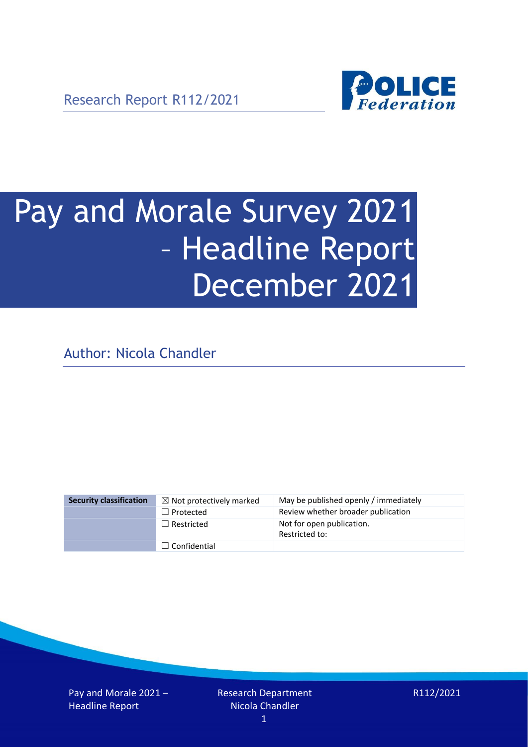Research Report R112/2021



# Pay and Morale Survey 2021 – Headline Report December 2021

Author: Nicola Chandler

| <b>Security classification</b> | $\boxtimes$ Not protectively marked | May be published openly / immediately       |
|--------------------------------|-------------------------------------|---------------------------------------------|
|                                | $\Box$ Protected                    | Review whether broader publication          |
|                                | $\Box$ Restricted                   | Not for open publication.<br>Restricted to: |
|                                | $\Box$ Confidential                 |                                             |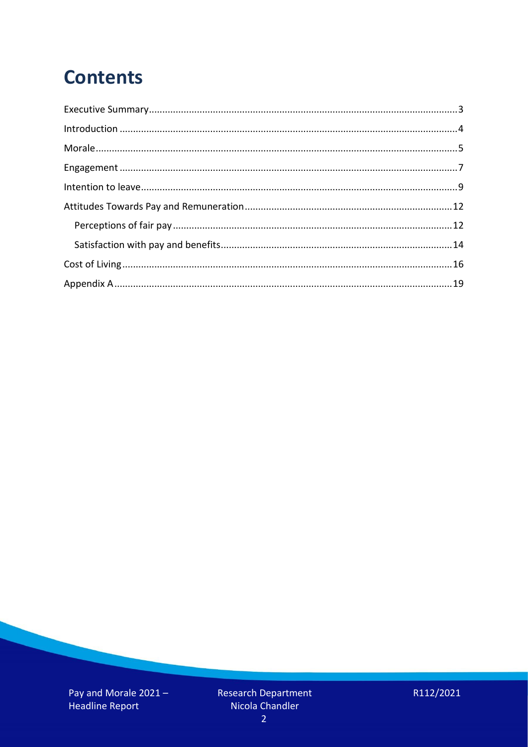# **Contents**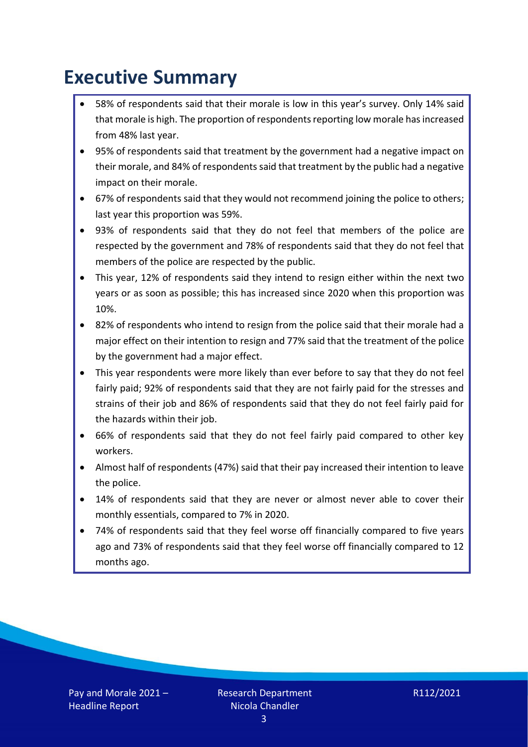# <span id="page-2-0"></span>**Executive Summary**

- 58% of respondents said that their morale is low in this year's survey. Only 14% said that morale is high. The proportion of respondents reporting low morale has increased from 48% last year.
- 95% of respondents said that treatment by the government had a negative impact on their morale, and 84% of respondentssaid that treatment by the public had a negative impact on their morale.
- 67% of respondents said that they would not recommend joining the police to others; last year this proportion was 59%.
- 93% of respondents said that they do not feel that members of the police are respected by the government and 78% of respondents said that they do not feel that members of the police are respected by the public.
- This year, 12% of respondents said they intend to resign either within the next two years or as soon as possible; this has increased since 2020 when this proportion was 10%.
- 82% of respondents who intend to resign from the police said that their morale had a major effect on their intention to resign and 77% said that the treatment of the police by the government had a major effect.
- This year respondents were more likely than ever before to say that they do not feel fairly paid; 92% of respondents said that they are not fairly paid for the stresses and strains of their job and 86% of respondents said that they do not feel fairly paid for the hazards within their job.
- 66% of respondents said that they do not feel fairly paid compared to other key workers.
- Almost half of respondents (47%) said that their pay increased their intention to leave the police.
- 14% of respondents said that they are never or almost never able to cover their monthly essentials, compared to 7% in 2020.
- 74% of respondents said that they feel worse off financially compared to five years ago and 73% of respondents said that they feel worse off financially compared to 12 months ago.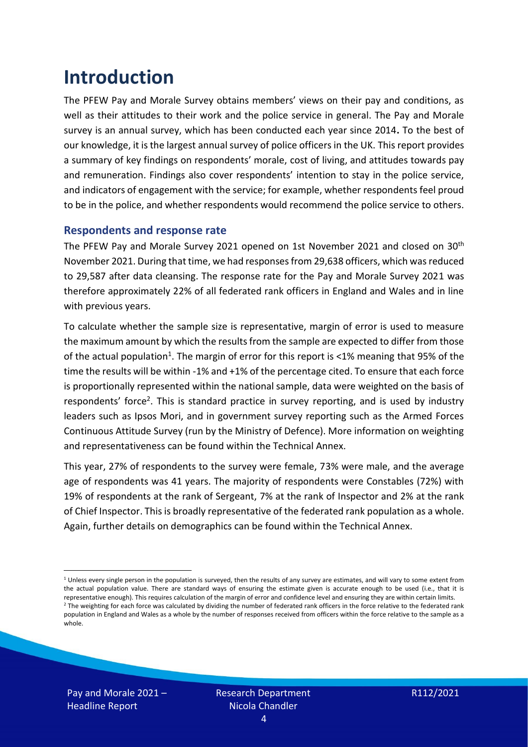# <span id="page-3-0"></span>**Introduction**

The PFEW Pay and Morale Survey obtains members' views on their pay and conditions, as well as their attitudes to their work and the police service in general. The Pay and Morale survey is an annual survey, which has been conducted each year since 2014**.** To the best of our knowledge, it is the largest annual survey of police officers in the UK. This report provides a summary of key findings on respondents' morale, cost of living, and attitudes towards pay and remuneration. Findings also cover respondents' intention to stay in the police service, and indicators of engagement with the service; for example, whether respondents feel proud to be in the police, and whether respondents would recommend the police service to others.

### **Respondents and response rate**

The PFEW Pay and Morale Survey 2021 opened on 1st November 2021 and closed on 30<sup>th</sup> November 2021. During that time, we had responses from 29,638 officers, which wasreduced to 29,587 after data cleansing. The response rate for the Pay and Morale Survey 2021 was therefore approximately 22% of all federated rank officers in England and Wales and in line with previous years.

To calculate whether the sample size is representative, margin of error is used to measure the maximum amount by which the results from the sample are expected to differ from those of the actual population<sup>1</sup>. The margin of error for this report is <1% meaning that 95% of the time the results will be within -1% and +1% of the percentage cited. To ensure that each force is proportionally represented within the national sample, data were weighted on the basis of respondents' force<sup>2</sup>. This is standard practice in survey reporting, and is used by industry leaders such as Ipsos Mori, and in government survey reporting such as the Armed Forces Continuous Attitude Survey (run by the Ministry of Defence). More information on weighting and representativeness can be found within the Technical Annex.

This year, 27% of respondents to the survey were female, 73% were male, and the average age of respondents was 41 years. The majority of respondents were Constables (72%) with 19% of respondents at the rank of Sergeant, 7% at the rank of Inspector and 2% at the rank of Chief Inspector. This is broadly representative of the federated rank population as a whole. Again, further details on demographics can be found within the Technical Annex.

 $1$  Unless every single person in the population is surveyed, then the results of any survey are estimates, and will vary to some extent from the actual population value. There are standard ways of ensuring the estimate given is accurate enough to be used (i.e., that it is representative enough). This requires calculation of the margin of error and confidence level and ensuring they are within certain limits. <sup>2</sup> The weighting for each force was calculated by dividing the number of federated rank officers in the force relative to the federated rank population in England and Wales as a whole by the number of responses received from officers within the force relative to the sample as a whole.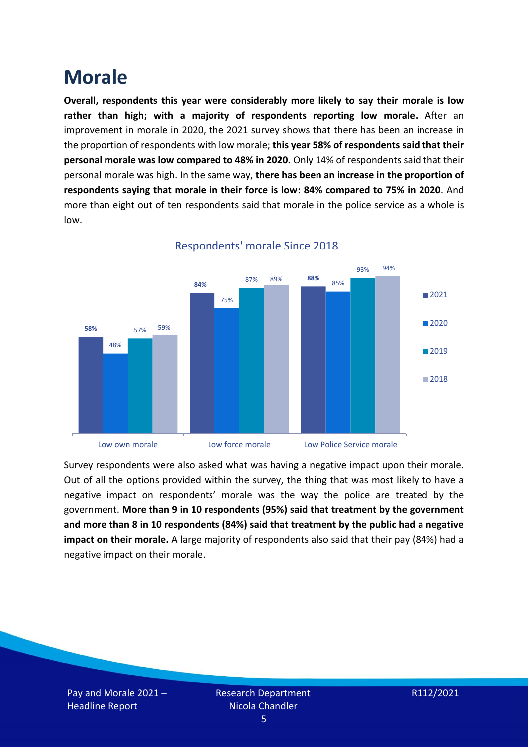### <span id="page-4-0"></span>**Morale**

**Overall, respondents this year were considerably more likely to say their morale is low rather than high; with a majority of respondents reporting low morale.** After an improvement in morale in 2020, the 2021 survey shows that there has been an increase in the proportion of respondents with low morale; **this year 58% of respondents said that their personal morale was low compared to 48% in 2020.** Only 14% of respondents said that their personal morale was high. In the same way, **there has been an increase in the proportion of respondents saying that morale in their force is low: 84% compared to 75% in 2020**. And more than eight out of ten respondents said that morale in the police service as a whole is low.



### Respondents' morale Since 2018

Survey respondents were also asked what was having a negative impact upon their morale. Out of all the options provided within the survey, the thing that was most likely to have a negative impact on respondents' morale was the way the police are treated by the government. **More than 9 in 10 respondents (95%) said that treatment by the government and more than 8 in 10 respondents (84%) said that treatment by the public had a negative impact on their morale.** A large majority of respondents also said that their pay (84%) had a negative impact on their morale.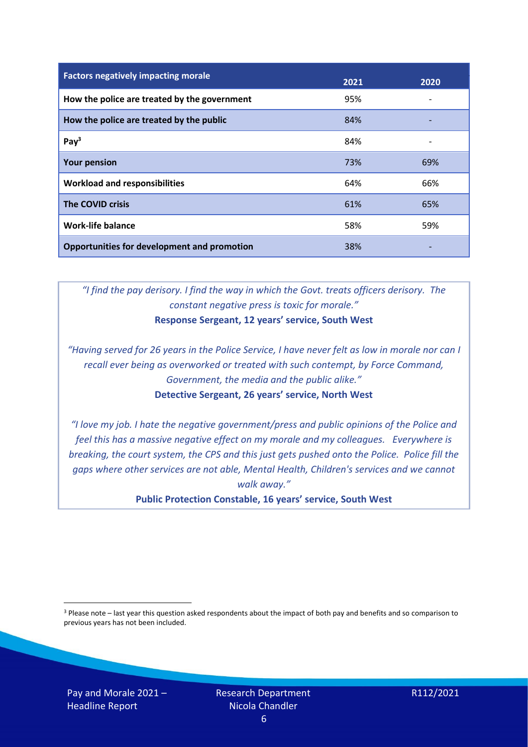| <b>Factors negatively impacting morale</b>         | 2021 | 2020 |
|----------------------------------------------------|------|------|
| How the police are treated by the government       | 95%  |      |
| How the police are treated by the public           | 84%  |      |
| Pay <sup>3</sup>                                   | 84%  |      |
| <b>Your pension</b>                                | 73%  | 69%  |
| <b>Workload and responsibilities</b>               | 64%  | 66%  |
| <b>The COVID crisis</b>                            | 61%  | 65%  |
| <b>Work-life balance</b>                           | 58%  | 59%  |
| <b>Opportunities for development and promotion</b> | 38%  |      |

*"I find the pay derisory. I find the way in which the Govt. treats officers derisory. The constant negative press is toxic for morale."* **Response Sergeant, 12 years' service, South West**

*"Having served for 26 years in the Police Service, I have never felt as low in morale nor can I recall ever being as overworked or treated with such contempt, by Force Command, Government, the media and the public alike."* **Detective Sergeant, 26 years' service, North West**

*"I love my job. I hate the negative government/press and public opinions of the Police and feel this has a massive negative effect on my morale and my colleagues. Everywhere is breaking, the court system, the CPS and this just gets pushed onto the Police. Police fill the gaps where other services are not able, Mental Health, Children's services and we cannot walk away."*

**Public Protection Constable, 16 years' service, South West**

<sup>3</sup> Please note – last year this question asked respondents about the impact of both pay and benefits and so comparison to previous years has not been included.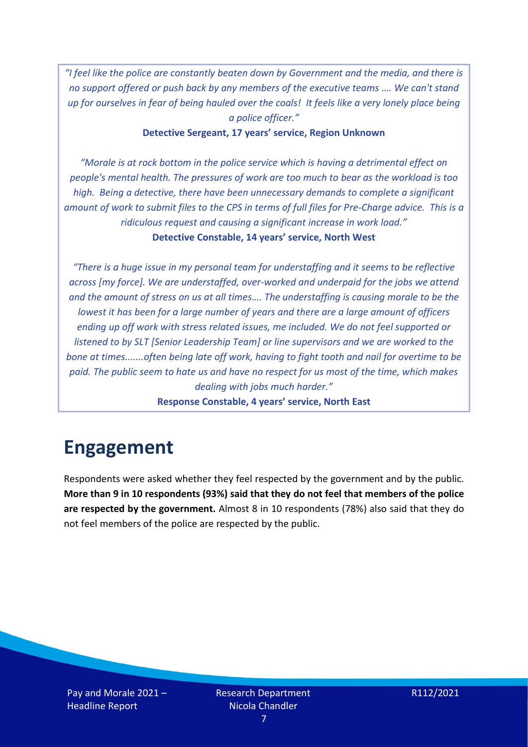*"I feel like the police are constantly beaten down by Government and the media, and there is no support offered or push back by any members of the executive teams …. We can't stand up for ourselves in fear of being hauled over the coals! It feels like a very lonely place being a police officer."*

**Detective Sergeant, 17 years' service, Region Unknown**

*"Morale is at rock bottom in the police service which is having a detrimental effect on people's mental health. The pressures of work are too much to bear as the workload is too high. Being a detective, there have been unnecessary demands to complete a significant amount of work to submit files to the CPS in terms of full files for Pre-Charge advice. This is a ridiculous request and causing a significant increase in work load."* **Detective Constable, 14 years' service, North West**

*"There is a huge issue in my personal team for understaffing and it seems to be reflective across [my force]. We are understaffed, over-worked and underpaid for the jobs we attend and the amount of stress on us at all times…. The understaffing is causing morale to be the lowest it has been for a large number of years and there are a large amount of officers ending up off work with stress related issues, me included. We do not feel supported or listened to by SLT [Senior Leadership Team] or line supervisors and we are worked to the bone at times.......often being late off work, having to fight tooth and nail for overtime to be paid. The public seem to hate us and have no respect for us most of the time, which makes dealing with jobs much harder."*

**Response Constable, 4 years' service, North East**

# <span id="page-6-0"></span>**Engagement**

Respondents were asked whether they feel respected by the government and by the public. **More than 9 in 10 respondents (93%) said that they do not feel that members of the police are respected by the government.** Almost 8 in 10 respondents (78%) also said that they do not feel members of the police are respected by the public.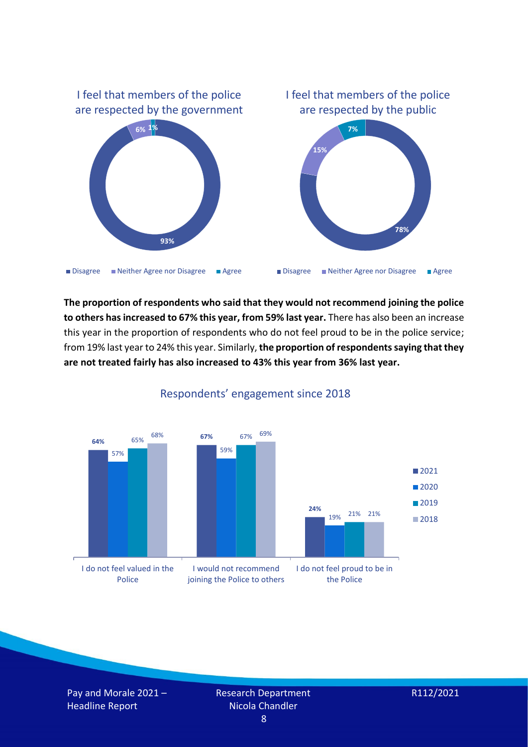

**The proportion of respondents who said that they would not recommend joining the police to others has increased to 67% this year, from 59% last year.** There has also been an increase this year in the proportion of respondents who do not feel proud to be in the police service; from 19% last year to 24% this year. Similarly, **the proportion of respondents saying that they are not treated fairly has also increased to 43% this year from 36% last year.**



Respondents' engagement since 2018

Pay and Morale 2021 – Headline Report

Research Department Nicola Chandler 8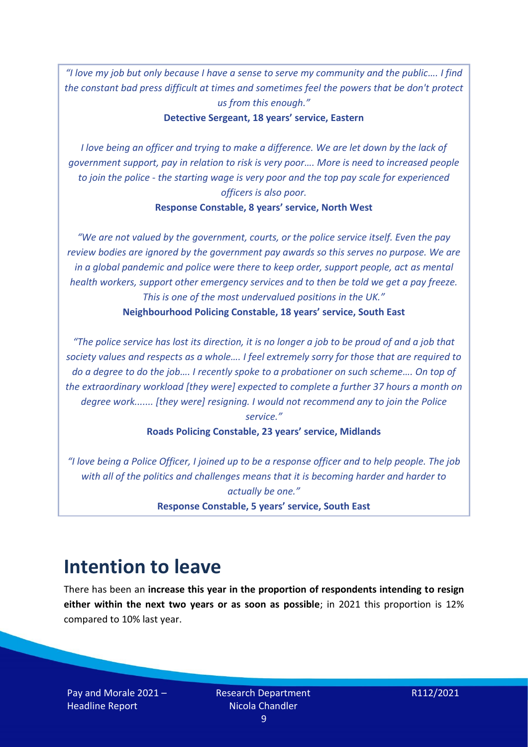*"I love my job but only because I have a sense to serve my community and the public…. I find the constant bad press difficult at times and sometimes feel the powers that be don't protect us from this enough."*

**Detective Sergeant, 18 years' service, Eastern**

*I love being an officer and trying to make a difference. We are let down by the lack of government support, pay in relation to risk is very poor…. More is need to increased people to join the police - the starting wage is very poor and the top pay scale for experienced officers is also poor.*

#### **Response Constable, 8 years' service, North West**

*"We are not valued by the government, courts, or the police service itself. Even the pay review bodies are ignored by the government pay awards so this serves no purpose. We are in a global pandemic and police were there to keep order, support people, act as mental health workers, support other emergency services and to then be told we get a pay freeze. This is one of the most undervalued positions in the UK."*  **Neighbourhood Policing Constable, 18 years' service, South East**

*"The police service has lost its direction, it is no longer a job to be proud of and a job that society values and respects as a whole…. I feel extremely sorry for those that are required to do a degree to do the job…. I recently spoke to a probationer on such scheme…. On top of the extraordinary workload [they were] expected to complete a further 37 hours a month on degree work....... [they were] resigning. I would not recommend any to join the Police service."*

**Roads Policing Constable, 23 years' service, Midlands**

*"I love being a Police Officer, I joined up to be a response officer and to help people. The job with all of the politics and challenges means that it is becoming harder and harder to actually be one."*

**Response Constable, 5 years' service, South East**

### <span id="page-8-0"></span>**Intention to leave**

There has been an **increase this year in the proportion of respondents intending to resign either within the next two years or as soon as possible**; in 2021 this proportion is 12% compared to 10% last year.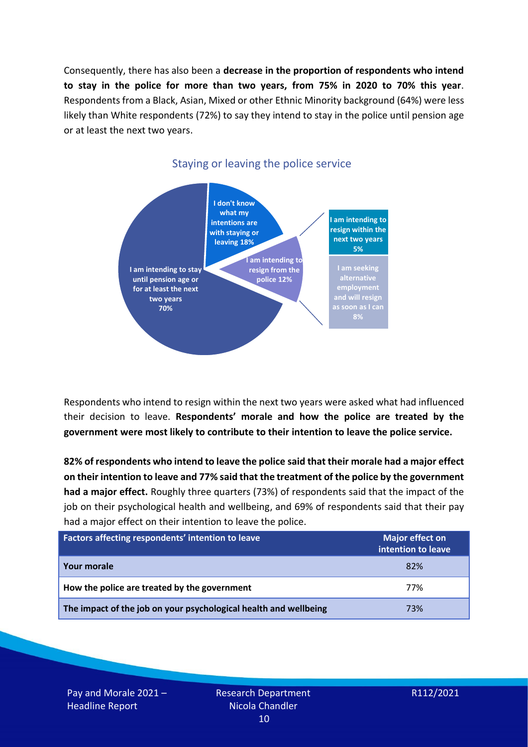Consequently, there has also been a **decrease in the proportion of respondents who intend to stay in the police for more than two years, from 75% in 2020 to 70% this year**. Respondents from a Black, Asian, Mixed or other Ethnic Minority background (64%) were less likely than White respondents (72%) to say they intend to stay in the police until pension age or at least the next two years.



### Staying or leaving the police service

Respondents who intend to resign within the next two years were asked what had influenced their decision to leave. **Respondents' morale and how the police are treated by the government were most likely to contribute to their intention to leave the police service.** 

**82% of respondents who intend to leave the police said that their morale had a major effect on their intention to leave and 77% said that the treatment of the police by the government had a major effect.** Roughly three quarters (73%) of respondents said that the impact of the job on their psychological health and wellbeing, and 69% of respondents said that their pay had a major effect on their intention to leave the police.

| Factors affecting respondents' intention to leave                | Major effect on<br>intention to leave |
|------------------------------------------------------------------|---------------------------------------|
| Your morale                                                      | 82%                                   |
| How the police are treated by the government                     | 77%                                   |
| The impact of the job on your psychological health and wellbeing | 73%                                   |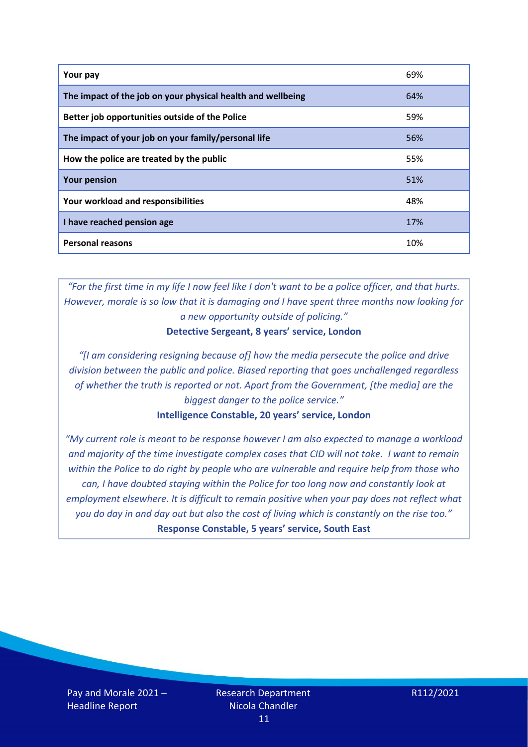| Your pay                                                    | 69% |
|-------------------------------------------------------------|-----|
| The impact of the job on your physical health and wellbeing | 64% |
| Better job opportunities outside of the Police              | 59% |
| The impact of your job on your family/personal life         | 56% |
| How the police are treated by the public                    | 55% |
| <b>Your pension</b>                                         | 51% |
| Your workload and responsibilities                          | 48% |
| I have reached pension age                                  | 17% |
| <b>Personal reasons</b>                                     | 10% |

*"For the first time in my life I now feel like I don't want to be a police officer, and that hurts. However, morale is so low that it is damaging and I have spent three months now looking for a new opportunity outside of policing."*

**Detective Sergeant, 8 years' service, London**

*"[I am considering resigning because of] how the media persecute the police and drive division between the public and police. Biased reporting that goes unchallenged regardless of whether the truth is reported or not. Apart from the Government, [the media] are the biggest danger to the police service."*

### **Intelligence Constable, 20 years' service, London**

*"My current role is meant to be response however I am also expected to manage a workload and majority of the time investigate complex cases that CID will not take. I want to remain within the Police to do right by people who are vulnerable and require help from those who can, I have doubted staying within the Police for too long now and constantly look at employment elsewhere. It is difficult to remain positive when your pay does not reflect what you do day in and day out but also the cost of living which is constantly on the rise too."* **Response Constable, 5 years' service, South East**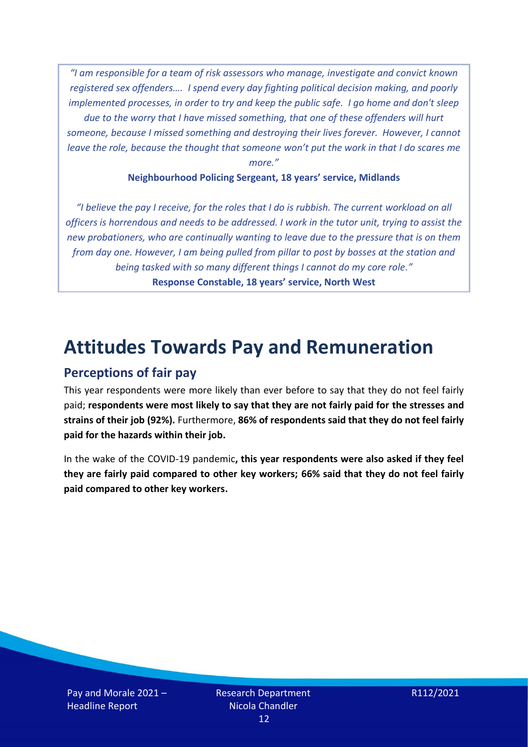*"I am responsible for a team of risk assessors who manage, investigate and convict known registered sex offenders…. I spend every day fighting political decision making, and poorly implemented processes, in order to try and keep the public safe. I go home and don't sleep due to the worry that I have missed something, that one of these offenders will hurt someone, because I missed something and destroying their lives forever. However, I cannot leave the role, because the thought that someone won't put the work in that I do scares me more."*

### **Neighbourhood Policing Sergeant, 18 years' service, Midlands**

*"I believe the pay I receive, for the roles that I do is rubbish. The current workload on all officers is horrendous and needs to be addressed. I work in the tutor unit, trying to assist the new probationers, who are continually wanting to leave due to the pressure that is on them from day one. However, I am being pulled from pillar to post by bosses at the station and being tasked with so many different things I cannot do my core role."* **Response Constable, 18 years' service, North West**

### <span id="page-11-0"></span>**Attitudes Towards Pay and Remuneration**

### <span id="page-11-1"></span>**Perceptions of fair pay**

This year respondents were more likely than ever before to say that they do not feel fairly paid; **respondents were most likely to say that they are not fairly paid for the stresses and strains of their job (92%).** Furthermore, **86% of respondents said that they do not feel fairly paid for the hazards within their job.** 

In the wake of the COVID-19 pandemic**, this year respondents were also asked if they feel they are fairly paid compared to other key workers; 66% said that they do not feel fairly paid compared to other key workers.**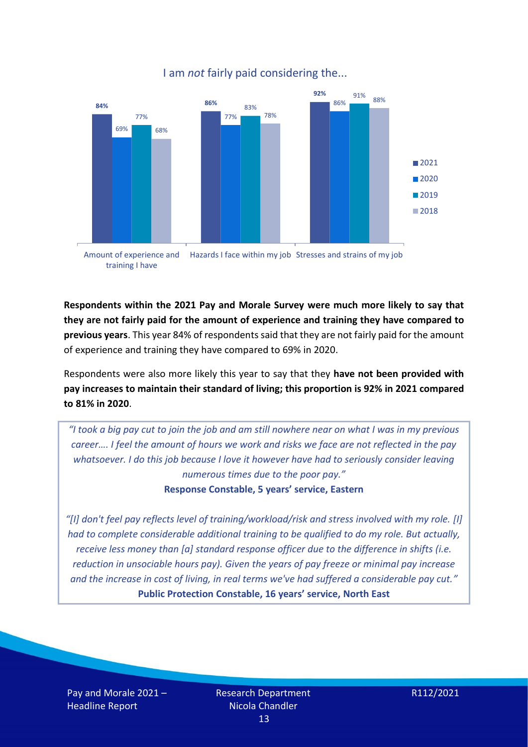

### I am *not* fairly paid considering the...

Amount of experience and training I have Hazards I face within my job Stresses and strains of my job

**Respondents within the 2021 Pay and Morale Survey were much more likely to say that they are not fairly paid for the amount of experience and training they have compared to previous years**. This year 84% of respondents said that they are not fairly paid for the amount of experience and training they have compared to 69% in 2020.

Respondents were also more likely this year to say that they **have not been provided with pay increases to maintain their standard of living; this proportion is 92% in 2021 compared to 81% in 2020**.

*"I took a big pay cut to join the job and am still nowhere near on what I was in my previous career…. I feel the amount of hours we work and risks we face are not reflected in the pay whatsoever. I do this job because I love it however have had to seriously consider leaving numerous times due to the poor pay."*

**Response Constable, 5 years' service, Eastern**

*"[I] don't feel pay reflects level of training/workload/risk and stress involved with my role. [I] had to complete considerable additional training to be qualified to do my role. But actually, receive less money than [a] standard response officer due to the difference in shifts (i.e. reduction in unsociable hours pay). Given the years of pay freeze or minimal pay increase and the increase in cost of living, in real terms we've had suffered a considerable pay cut."* **Public Protection Constable, 16 years' service, North East**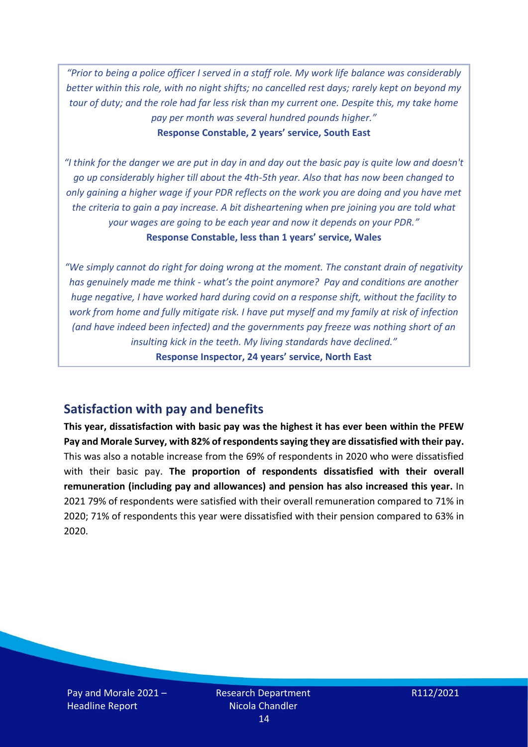*"Prior to being a police officer I served in a staff role. My work life balance was considerably better within this role, with no night shifts; no cancelled rest days; rarely kept on beyond my tour of duty; and the role had far less risk than my current one. Despite this, my take home pay per month was several hundred pounds higher."* **Response Constable, 2 years' service, South East**

*"I think for the danger we are put in day in and day out the basic pay is quite low and doesn't go up considerably higher till about the 4th-5th year. Also that has now been changed to only gaining a higher wage if your PDR reflects on the work you are doing and you have met the criteria to gain a pay increase. A bit disheartening when pre joining you are told what your wages are going to be each year and now it depends on your PDR."* **Response Constable, less than 1 years' service, Wales**

*"We simply cannot do right for doing wrong at the moment. The constant drain of negativity has genuinely made me think - what's the point anymore? Pay and conditions are another huge negative, I have worked hard during covid on a response shift, without the facility to work from home and fully mitigate risk. I have put myself and my family at risk of infection (and have indeed been infected) and the governments pay freeze was nothing short of an insulting kick in the teeth. My living standards have declined."*  **Response Inspector, 24 years' service, North East**

### <span id="page-13-0"></span>**Satisfaction with pay and benefits**

**This year, dissatisfaction with basic pay was the highest it has ever been within the PFEW Pay and Morale Survey, with 82% of respondents saying they are dissatisfied with their pay.** This was also a notable increase from the 69% of respondents in 2020 who were dissatisfied with their basic pay. **The proportion of respondents dissatisfied with their overall remuneration (including pay and allowances) and pension has also increased this year.** In 2021 79% of respondents were satisfied with their overall remuneration compared to 71% in 2020; 71% of respondents this year were dissatisfied with their pension compared to 63% in 2020.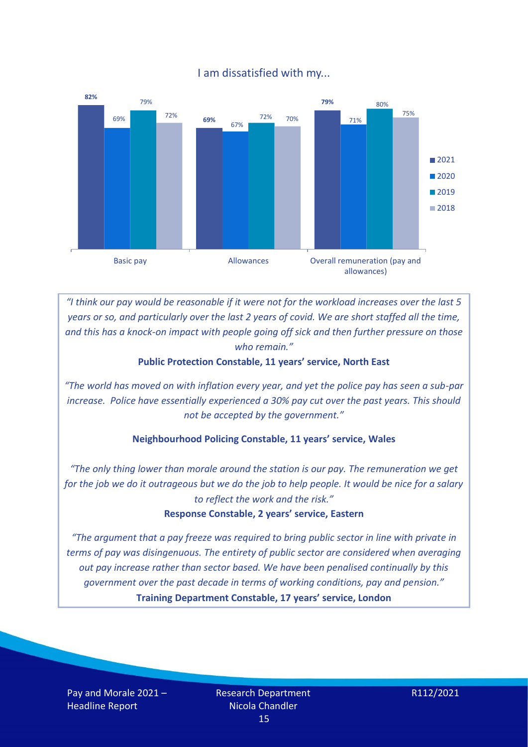### I am dissatisfied with my...



*"I think our pay would be reasonable if it were not for the workload increases over the last 5 years or so, and particularly over the last 2 years of covid. We are short staffed all the time, and this has a knock-on impact with people going off sick and then further pressure on those who remain."*

### **Public Protection Constable, 11 years' service, North East**

*"The world has moved on with inflation every year, and yet the police pay has seen a sub-par increase. Police have essentially experienced a 30% pay cut over the past years. This should not be accepted by the government."*

### **Neighbourhood Policing Constable, 11 years' service, Wales**

*"The only thing lower than morale around the station is our pay. The remuneration we get for the job we do it outrageous but we do the job to help people. It would be nice for a salary to reflect the work and the risk."*

#### **Response Constable, 2 years' service, Eastern**

*"The argument that a pay freeze was required to bring public sector in line with private in terms of pay was disingenuous. The entirety of public sector are considered when averaging out pay increase rather than sector based. We have been penalised continually by this government over the past decade in terms of working conditions, pay and pension."* **Training Department Constable, 17 years' service, London**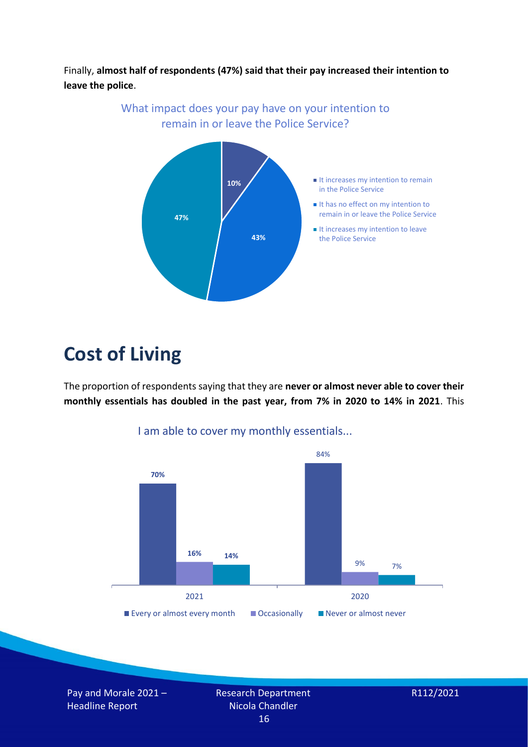Finally, **almost half of respondents (47%) said that their pay increased their intention to leave the police**.



## <span id="page-15-0"></span>**Cost of Living**

The proportion of respondents saying that they are **never or almost never able to cover their monthly essentials has doubled in the past year, from 7% in 2020 to 14% in 2021**. This



I am able to cover my monthly essentials...

Pay and Morale 2021 – Headline Report

Research Department Nicola Chandler 16

$$
R112/2021
$$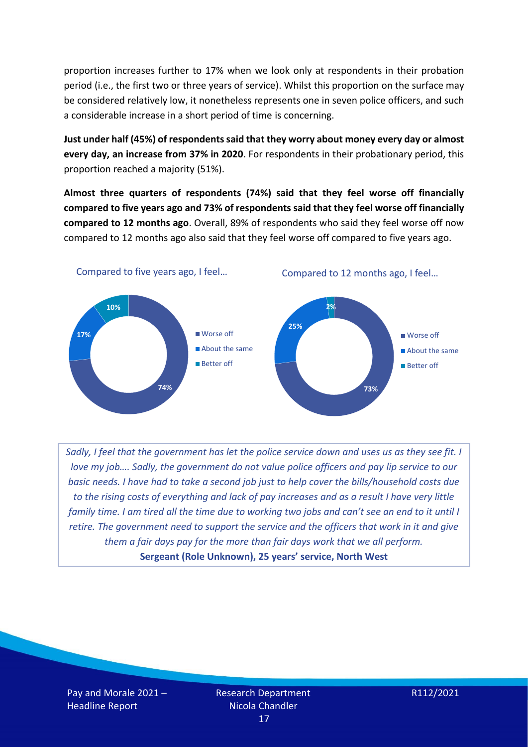proportion increases further to 17% when we look only at respondents in their probation period (i.e., the first two or three years of service). Whilst this proportion on the surface may be considered relatively low, it nonetheless represents one in seven police officers, and such a considerable increase in a short period of time is concerning.

**Just under half (45%) of respondents said that they worry about money every day or almost every day, an increase from 37% in 2020**. For respondents in their probationary period, this proportion reached a majority (51%).

**Almost three quarters of respondents (74%) said that they feel worse off financially compared to five years ago and 73% of respondents said that they feel worse off financially compared to 12 months ago**. Overall, 89% of respondents who said they feel worse off now compared to 12 months ago also said that they feel worse off compared to five years ago.



*Sadly, I feel that the government has let the police service down and uses us as they see fit. I love my job.... Sadly, the government do not value police officers and pay lip service to our basic needs. I have had to take a second job just to help cover the bills/household costs due to the rising costs of everything and lack of pay increases and as a result I have very little family time. I am tired all the time due to working two jobs and can't see an end to it until I retire. The government need to support the service and the officers that work in it and give them a fair days pay for the more than fair days work that we all perform.* **Sergeant (Role Unknown), 25 years' service, North West**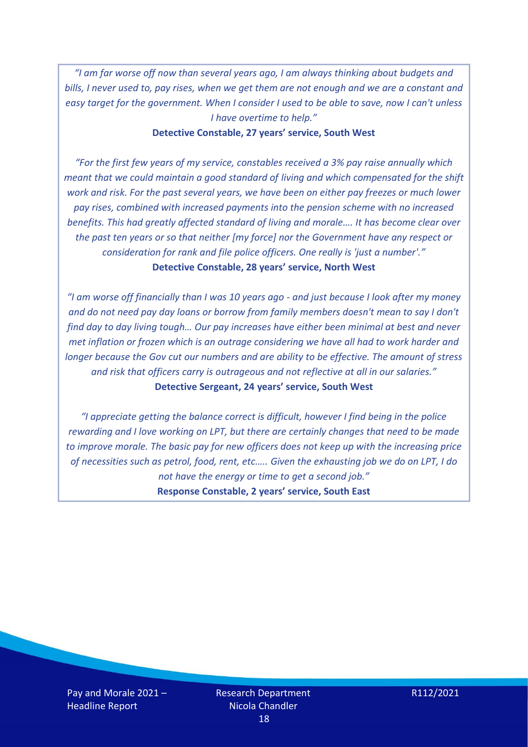*"I am far worse off now than several years ago, I am always thinking about budgets and bills, I never used to, pay rises, when we get them are not enough and we are a constant and easy target for the government. When I consider I used to be able to save, now I can't unless I have overtime to help."*

#### **Detective Constable, 27 years' service, South West**

*"For the first few years of my service, constables received a 3% pay raise annually which meant that we could maintain a good standard of living and which compensated for the shift work and risk. For the past several years, we have been on either pay freezes or much lower pay rises, combined with increased payments into the pension scheme with no increased benefits. This had greatly affected standard of living and morale…. It has become clear over the past ten years or so that neither [my force] nor the Government have any respect or consideration for rank and file police officers. One really is 'just a number'."* **Detective Constable, 28 years' service, North West**

*"I am worse off financially than I was 10 years ago - and just because I look after my money and do not need pay day loans or borrow from family members doesn't mean to say I don't find day to day living tough… Our pay increases have either been minimal at best and never met inflation or frozen which is an outrage considering we have all had to work harder and longer because the Gov cut our numbers and are ability to be effective. The amount of stress and risk that officers carry is outrageous and not reflective at all in our salaries."* **Detective Sergeant, 24 years' service, South West**

*"I appreciate getting the balance correct is difficult, however I find being in the police rewarding and I love working on LPT, but there are certainly changes that need to be made to improve morale. The basic pay for new officers does not keep up with the increasing price of necessities such as petrol, food, rent, etc….. Given the exhausting job we do on LPT, I do not have the energy or time to get a second job."*

**Response Constable, 2 years' service, South East**